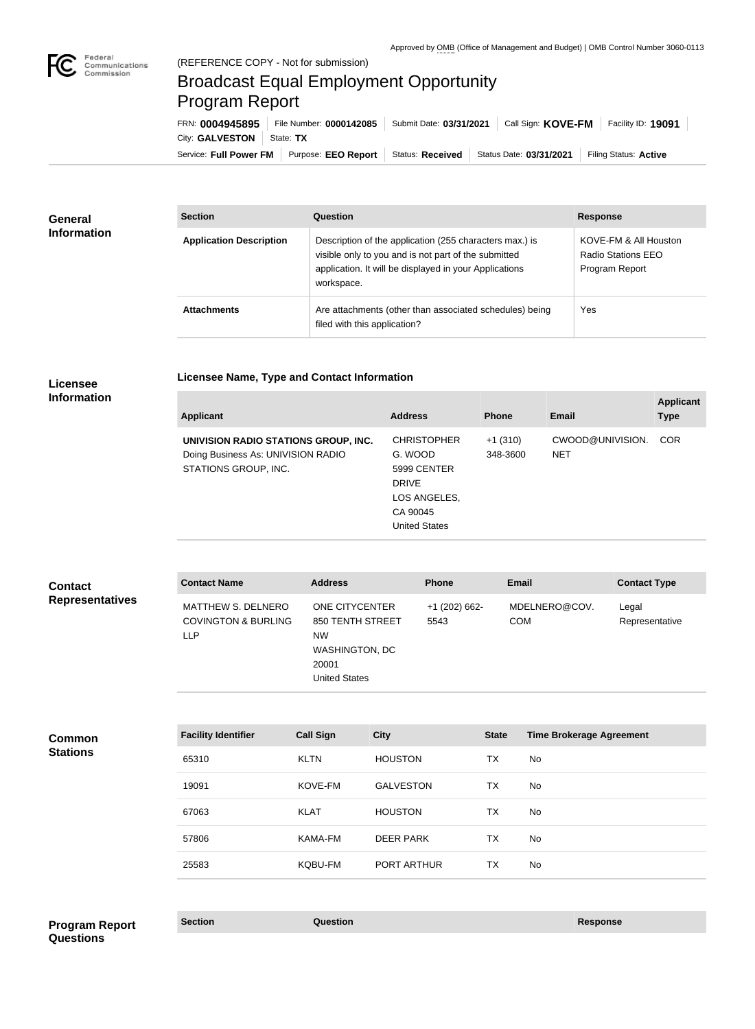

п

# Broadcast Equal Employment Opportunity Program Report

**Licensee Name, Type and Contact Information**

Service: Full Power FM Purpose: EEO Report | Status: Received | Status Date: 03/31/2021 | Filing Status: Active City: **GALVESTON** State: TX FRN: **0004945895** File Number: **0000142085** Submit Date: **03/31/2021** Call Sign: **KOVE-FM** Facility ID: **19091**

| General<br><b>Information</b> | <b>Section</b>                 | Question                                                                                                                                                                                | <b>Response</b>                                               |
|-------------------------------|--------------------------------|-----------------------------------------------------------------------------------------------------------------------------------------------------------------------------------------|---------------------------------------------------------------|
|                               | <b>Application Description</b> | Description of the application (255 characters max.) is<br>visible only to you and is not part of the submitted<br>application. It will be displayed in your Applications<br>workspace. | KOVE-FM & All Houston<br>Radio Stations EEO<br>Program Report |
|                               | <b>Attachments</b>             | Are attachments (other than associated schedules) being<br>filed with this application?                                                                                                 | Yes                                                           |

### **Licensee Information**

| CWOOD@UNIVISION.<br><b>CHRISTOPHER</b><br>$+1(310)$<br><b>COR</b><br>UNIVISION RADIO STATIONS GROUP, INC.<br>Doing Business As: UNIVISION RADIO<br>G. WOOD<br>348-3600<br><b>NET</b><br>STATIONS GROUP, INC.<br>5999 CENTER<br><b>DRIVE</b><br>LOS ANGELES,<br>CA 90045<br><b>United States</b> | <b>Applicant</b> | <b>Address</b> | <b>Phone</b> | Email | <b>Applicant</b><br><b>Type</b> |
|-------------------------------------------------------------------------------------------------------------------------------------------------------------------------------------------------------------------------------------------------------------------------------------------------|------------------|----------------|--------------|-------|---------------------------------|
|                                                                                                                                                                                                                                                                                                 |                  |                |              |       |                                 |

| <b>Contact</b>         | <b>Contact Name</b>                                                | <b>Address</b>                                                                                                   | <b>Phone</b>            | <b>Email</b>                | <b>Contact Type</b>     |
|------------------------|--------------------------------------------------------------------|------------------------------------------------------------------------------------------------------------------|-------------------------|-----------------------------|-------------------------|
| <b>Representatives</b> | MATTHEW S. DELNERO<br><b>COVINGTON &amp; BURLING</b><br><b>LLP</b> | <b>ONE CITYCENTER</b><br>850 TENTH STREET<br><b>NW</b><br><b>WASHINGTON, DC</b><br>20001<br><b>United States</b> | $+1$ (202) 662-<br>5543 | MDELNERO@COV.<br><b>COM</b> | Legal<br>Representative |

| <b>HOUSTON</b><br>TX<br>No<br>65310<br><b>KLTN</b><br><b>GALVESTON</b><br>KOVE-FM<br>TX<br>No<br>19091<br><b>HOUSTON</b><br><b>TX</b><br><b>KLAT</b><br>No<br>67063<br><b>DEER PARK</b><br>TX<br>KAMA-FM<br>No<br>57806 | <b>Common</b><br><b>Stations</b> | <b>Facility Identifier</b> | <b>Call Sign</b> | <b>City</b> | <b>State</b> | <b>Time Brokerage Agreement</b> |
|-------------------------------------------------------------------------------------------------------------------------------------------------------------------------------------------------------------------------|----------------------------------|----------------------------|------------------|-------------|--------------|---------------------------------|
|                                                                                                                                                                                                                         |                                  |                            |                  |             |              |                                 |
|                                                                                                                                                                                                                         |                                  |                            |                  |             |              |                                 |
|                                                                                                                                                                                                                         |                                  |                            |                  |             |              |                                 |
|                                                                                                                                                                                                                         |                                  |                            |                  |             |              |                                 |
|                                                                                                                                                                                                                         |                                  | 25583                      | KQBU-FM          | PORT ARTHUR | TX           | No                              |

## **Section Question Response Program Report Questions**